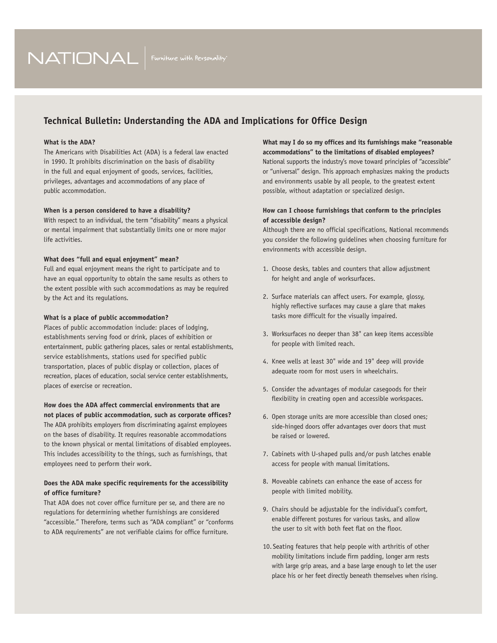# **Technical Bulletin: Understanding the ADA and Implications for Office Design**

#### **What is the ADA?**

The Americans with Disabilities Act (ADA) is a federal law enacted in 1990. It prohibits discrimination on the basis of disability in the full and equal enjoyment of goods, services, facilities, privileges, advantages and accommodations of any place of public accommodation.

#### **When is a person considered to have a disability?**

With respect to an individual, the term "disability" means a physical or mental impairment that substantially limits one or more major life activities.

#### **What does "full and equal enjoyment" mean?**

Full and equal enjoyment means the right to participate and to have an equal opportunity to obtain the same results as others to the extent possible with such accommodations as may be required by the Act and its regulations.

#### **What is a place of public accommodation?**

Places of public accommodation include: places of lodging, establishments serving food or drink, places of exhibition or entertainment, public gathering places, sales or rental establishments, service establishments, stations used for specified public transportation, places of public display or collection, places of recreation, places of education, social service center establishments, places of exercise or recreation.

**How does the ADA affect commercial environments that are not places of public accommodation, such as corporate offices?** The ADA prohibits employers from discriminating against employees on the bases of disability. It requires reasonable accommodations to the known physical or mental limitations of disabled employees. This includes accessibility to the things, such as furnishings, that employees need to perform their work.

# **Does the ADA make specific requirements for the accessibility of office furniture?**

That ADA does not cover office furniture per se, and there are no regulations for determining whether furnishings are considered "accessible." Therefore, terms such as "ADA compliant" or "conforms to ADA requirements" are not verifiable claims for office furniture.

**What may I do so my offices and its furnishings make "reasonable accommodations" to the limitations of disabled employees?** National supports the industry's move toward principles of "accessible"

or "universal" design. This approach emphasizes making the products and environments usable by all people, to the greatest extent possible, without adaptation or specialized design.

# **How can I choose furnishings that conform to the principles of accessible design?**

Although there are no official specifications, National recommends you consider the following guidelines when choosing furniture for environments with accessible design.

- 1. Choose desks, tables and counters that allow adjustment for height and angle of worksurfaces.
- 2. Surface materials can affect users. For example, glossy, highly reflective surfaces may cause a glare that makes tasks more difficult for the visually impaired.
- 3. Worksurfaces no deeper than 38" can keep items accessible for people with limited reach.
- 4. Knee wells at least 30" wide and 19" deep will provide adequate room for most users in wheelchairs.
- 5. Consider the advantages of modular casegoods for their flexibility in creating open and accessible workspaces.
- 6. Open storage units are more accessible than closed ones; side-hinged doors offer advantages over doors that must be raised or lowered.
- 7. Cabinets with U-shaped pulls and/or push latches enable access for people with manual limitations.
- 8. Moveable cabinets can enhance the ease of access for people with limited mobility.
- 9. Chairs should be adjustable for the individual's comfort, enable different postures for various tasks, and allow the user to sit with both feet flat on the floor.
- 10.Seating features that help people with arthritis of other mobility limitations include firm padding, longer arm rests with large grip areas, and a base large enough to let the user place his or her feet directly beneath themselves when rising.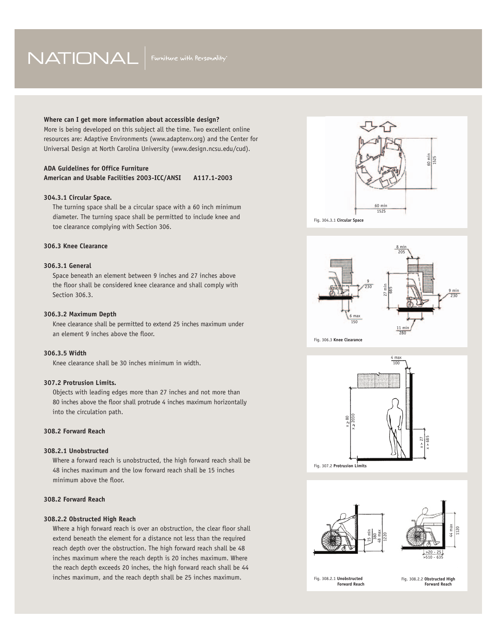# **Where can I get more information about accessible design?**

More is being developed on this subject all the time. Two excellent online resources are: Adaptive Environments (www.adaptenv.org) and the Center for Universal Design at North Carolina University (www.design.ncsu.edu/cud).

# **ADA Guidelines for Office Furniture American and Usable Facilities 2003-ICC/ANSI A117.1-2003**

# **304.3.1 Circular Space.**

The turning space shall be a circular space with a 60 inch minimum diameter. The turning space shall be permitted to include knee and toe clearance complying with Section 306.

# **306.3 Knee Clearance**

### **306.3.1 General**

Space beneath an element between 9 inches and 27 inches above the floor shall be considered knee clearance and shall comply with Section 306.3.

#### **306.3.2 Maximum Depth**

Knee clearance shall be permitted to extend 25 inches maximum under an element 9 inches above the floor.

#### **306.3.5 Width**

Knee clearance shall be 30 inches minimum in width.

# **307.2 Protrusion Limits.**

Objects with leading edges more than 27 inches and not more than 80 inches above the floor shall protrude 4 inches maximum horizontally into the circulation path.

# **308.2 Forward Reach**

#### **308.2.1 Unobstructed**

Where a forward reach is unobstructed, the high forward reach shall be 48 inches maximum and the low forward reach shall be 15 inches minimum above the floor.

# **308.2 Forward Reach**

#### **308.2.2 Obstructed High Reach**

Where a high forward reach is over an obstruction, the clear floor shall extend beneath the element for a distance not less than the required reach depth over the obstruction. The high forward reach shall be 48 inches maximum where the reach depth is 20 inches maximum. Where the reach depth exceeds 20 inches, the high forward reach shall be 44 inches maximum, and the reach depth shall be 25 inches maximum.









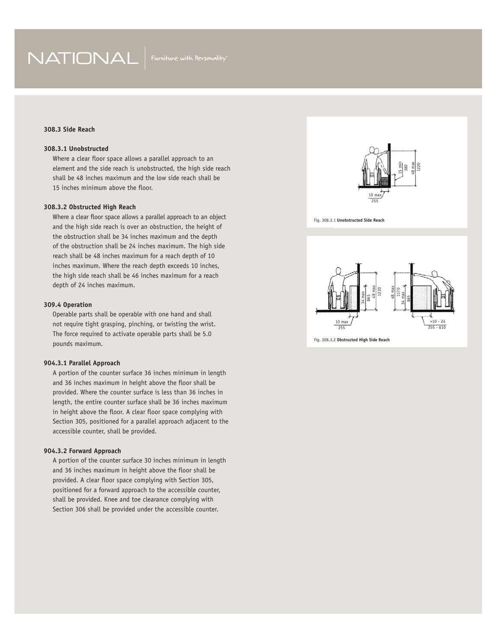#### **308.3 Side Reach**

#### **308.3.1 Unobstructed**

Where a clear floor space allows a parallel approach to an element and the side reach is unobstructed, the high side reach shall be 48 inches maximum and the low side reach shall be 15 inches minimum above the floor.

#### **308.3.2 Obstructed High Reach**

Where a clear floor space allows a parallel approach to an object and the high side reach is over an obstruction, the height of the obstruction shall be 34 inches maximum and the depth of the obstruction shall be 24 inches maximum. The high side reach shall be 48 inches maximum for a reach depth of 10 inches maximum. Where the reach depth exceeds 10 inches, the high side reach shall be 46 inches maximum for a reach depth of 24 inches maximum.

#### **309.4 Operation**

Operable parts shall be operable with one hand and shall not require tight grasping, pinching, or twisting the wrist. The force required to activate operable parts shall be 5.0 pounds maximum.

#### **904.3.1 Parallel Approach**

A portion of the counter surface 36 inches minimum in length and 36 inches maximum in height above the floor shall be provided. Where the counter surface is less than 36 inches in length, the entire counter surface shall be 36 inches maximum in height above the floor. A clear floor space complying with Section 305, positioned for a parallel approach adjacent to the accessible counter, shall be provided.

#### **904.3.2 Forward Approach**

A portion of the counter surface 30 inches minimum in length and 36 inches maximum in height above the floor shall be provided. A clear floor space complying with Section 305, positioned for a forward approach to the accessible counter, shall be provided. Knee and toe clearance complying with Section 306 shall be provided under the accessible counter.



Fig. 308.3.1 **Unobstructed Side Reach**



Fig. 308.3.2 **Obstructed High Side Reach**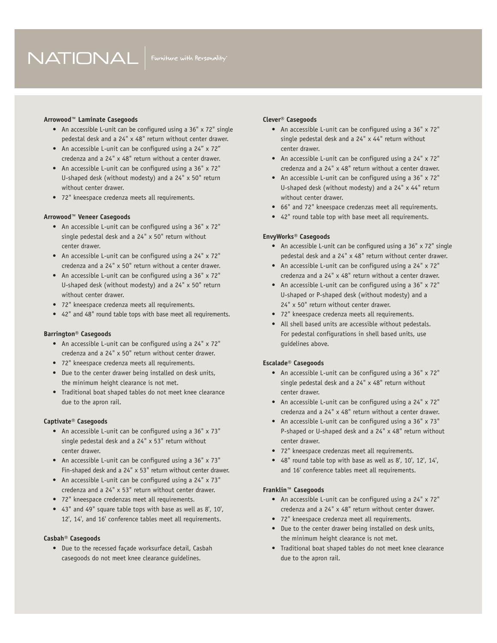## **Arrowood™ Laminate Casegoods**

- An accessible L-unit can be configured using a 36" x 72" single pedestal desk and a 24" x 48" return without center drawer.
- An accessible L-unit can be configured using a 24" x 72" credenza and a 24" x 48" return without a center drawer.
- An accessible L-unit can be configured using a 36" x 72" U-shaped desk (without modesty) and a 24" x 50" return without center drawer.
- 72" kneespace credenza meets all requirements.

#### **Arrowood™ Veneer Casegoods**

- An accessible L-unit can be configured using a 36" x 72" single pedestal desk and a 24" x 50" return without center drawer.
- An accessible L-unit can be configured using a 24" x 72" credenza and a 24" x 50" return without a center drawer.
- An accessible L-unit can be configured using a 36" x 72" U-shaped desk (without modesty) and a 24" x 50" return without center drawer.
- 72" kneespace credenza meets all requirements.
- 42" and 48" round table tops with base meet all requirements.

#### **Barrington® Casegoods**

- An accessible L-unit can be configured using a 24" x 72" credenza and a 24" x 50" return without center drawer.
- 72" kneespace credenza meets all requirements.
- Due to the center drawer being installed on desk units, the minimum height clearance is not met.
- Traditional boat shaped tables do not meet knee clearance due to the apron rail.

#### **Captivate® Casegoods**

- An accessible L-unit can be configured using a 36" x 73" single pedestal desk and a 24" x 53" return without center drawer.
- An accessible L-unit can be configured using a 36" x 73" Fin-shaped desk and a 24" x 53" return without center drawer.
- An accessible L-unit can be configured using a 24" x 73" credenza and a 24" x 53" return without center drawer.
- 72" kneespace credenzas meet all requirements.
- 43" and 49" square table tops with base as well as 8', 10', 12', 14', and 16' conference tables meet all requirements.

#### **Casbah® Casegoods**

• Due to the recessed façade worksurface detail, Casbah casegoods do not meet knee clearance guidelines.

#### **Clever® Casegoods**

- An accessible L-unit can be configured using a 36" x 72" single pedestal desk and a 24" x 44" return without center drawer.
- An accessible L-unit can be configured using a 24" x 72" credenza and a 24" x 48" return without a center drawer.
- An accessible L-unit can be configured using a 36" x 72" U-shaped desk (without modesty) and a 24" x 44" return without center drawer.
- 66" and 72" kneespace credenzas meet all requirements.
- 42" round table top with base meet all requirements.

#### **EnvyWorks® Casegoods**

- An accessible L-unit can be configured using a 36" x 72" single pedestal desk and a 24" x 48" return without center drawer.
- An accessible L-unit can be configured using a 24" x 72" credenza and a 24" x 48" return without a center drawer.
- An accessible L-unit can be configured using a 36" x 72" U-shaped or P-shaped desk (without modesty) and a 24" x 50" return without center drawer.
- 72" kneespace credenza meets all requirements.
- All shell based units are accessible without pedestals. For pedestal configurations in shell based units, use guidelines above.

#### **Escalade® Casegoods**

- An accessible L-unit can be configured using a 36" x 72" single pedestal desk and a 24" x 48" return without center drawer.
- An accessible L-unit can be configured using a 24" x 72" credenza and a 24" x 48" return without a center drawer.
- An accessible L-unit can be configured using a 36" x 73" P-shaped or U-shaped desk and a 24" x 48" return without center drawer.
- 72" kneespace credenzas meet all requirements.
- 48" round table top with base as well as 8', 10', 12', 14', and 16' conference tables meet all requirements.

# **Franklin™ Casegoods**

- An accessible L-unit can be configured using a 24" x 72" credenza and a 24" x 48" return without center drawer.
- 72" kneespace credenza meet all requirements.
- Due to the center drawer being installed on desk units, the minimum height clearance is not met.
- Traditional boat shaped tables do not meet knee clearance due to the apron rail.